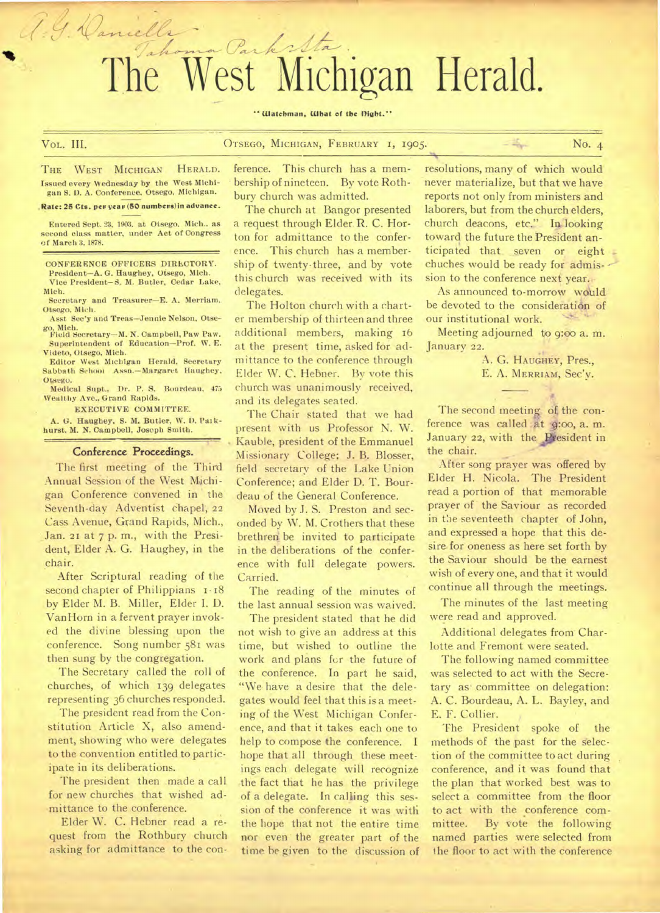# Tahoma Parksta The West Michigan Herald.

**" Watchman, What of the night."** 

J. J. Daniella

# VoL. III. **OTSEGO, MICHIGAN, FEBRUARY I, 1905.** No. 4

**THE WEST MICHIGAN HERALD. Issued every Wednesday by the West Michigan S. D. A. Conference. Otsego. Michigan.** 

**.Rate: 26 Cts. per yeas (60 numbevs)in advance.** 

**Entered Sept. 23, 1903. at Otsego. Mich.. as second class matter, under Act of Congress of March 3, 1878.** 

**CONFERENCE OFFICERS DIRECTORY.** 

**President—A. G. Haughey, Otsego, Mich.**  Vice President-S. M. Butler, Cedar Lake, **Mich.** 

**Secretary and Treasurer—E. A. Merriam.**  Otsego. Mich.

**Asst Sec'y and Treas—Jennie Nelson, Otsego, Mich. Field Secretary—M. N. Campbell, Paw Paw.** 

**Superintendent of Education—Prof. W. E. Videto, Otsego, Mich.** 

**Editor West Michigan Herald, Secretary Sabbath School Asso.—Margaret Haughey, Otsego.** 

**Medical Supt., Dr. P. S. Bourdeau, 475 Wealthy Ave., Grand Rapids.** 

**EXECUTIVE COMMITTEE.** 

**A. G. Haughey, S. M. Butler, W. D. Pai kburst, M. N. Campbell, Joseph Smith.** 

#### **Conference Proceedings.**

The first meeting of the Third Annual Sesion of the West Michigan Conference convened in ' the Seventh-day Adventist Chapel, **22**  Cass Avenue, Grand Rapids, Mich., Jan. **21** at 7 p. m., with the President, Elder A. G. Haughey, in the chair.

After Scriptural reading of the second chapter of Philippians  $1.18$ by Elder M. B. Miller, Elder I. D. Van Horn in a fervent prayer invoked the divine blessing upon the conference. Song number 581 was then sung by the congregation.

The Secretary called the roll of churches, of which 139 delegates representing 36 churches responded.

The president read from the Constitution Article X, also amendment, showing who were delegates to the convention entitled to participate in its deliberations.

The president then .made a call for new churches that wished admittance to the conference.

Elder W. C. Hebner read a request from the Rothbury church asking for admittance to the con-

ference. This church has a membership of nineteen. By vote Rothbury church was admitted.

The church at Bangor presented a request through Elder. R. C. Horton for admittance to the conference. This church has a membership of twenty-three, and by vote this church was received with its delegates.

The Holton church with a charter membership of thirteen and three additional members, making 16 at the present time, asked for admittance to the conference through Elder W. C, Hebner. By vote this church was unanimously received, and its delegates seated.

The Chair stated that we had present with us Professor N. W. Kauble, president of the Emmanuel Missionary College; J. B. Blosser, field secretary of the Lake Union Conference; and Elder D. T. Bourdeau of the General Conference.

Moved by J. S. Preston and seconded by W. NI. Crothers that these brethren be invited to participate in the deliberations of the conference with full delegate powers. Carried.

The reading of the minutes of the last annual session was waived.

The president stated that he did not wish to give an address at this time, but wished to outline the work and plans fer the future of the conference. In part he said, "We have a desire that the delegates would feel that this is a meeting of the West Michigan Conference, and that it takes each one to help to compose the conference. I hope that all through these meetings each delegate will recognize the fact that he has the privilege of a delegate. In calling this session of the conference it was with the hope that not the entire time nor even the greater part of the time he given to the discussion of

resolutions, many of which would never materialize, but that we have reports not only from ministers and laborers, but from the church elders, church deacons, etc." In looking toward the future the President anticipated that seven or eight chuches would be ready for admission to the conference next year.

As announced to-morrow would be devoted to the consideration of our institutional work.

Meeting adjourned to 9:oo a. m. January **22.** 

> A. G. **HAUGHEY,** Pres., E. A. **MERRIAM,** Sec'y.

The second meeting of the conference was called at 9:00, a. m. January 22, with the President in the chair.

After song prayer was offered by Elder H. Nicola. The President read a portion of that memorable prayer of the Saviour as recorded in the seventeeth chapter of John, and expressed a hope that this desire for oneness as here set forth by the Saviour should be the earnest wish of every one, and that it would continue all through the meetings.

The minutes of the last meeting were read and approved.

Additional delegates from Charlotte and Fremont were seated.

The following named committee was selected to act with the Secretary as• committee on delegation: A. C. Bourdeau, A. L. Bayley, and E. F. Collier.

The President spoke of the methods of the past for the selection of the committee to act during conference, and it was found that the plan that worked best was to select a committee from the floor to act with the conference committee. By vote the following named parties were selected from the floor to act with the conference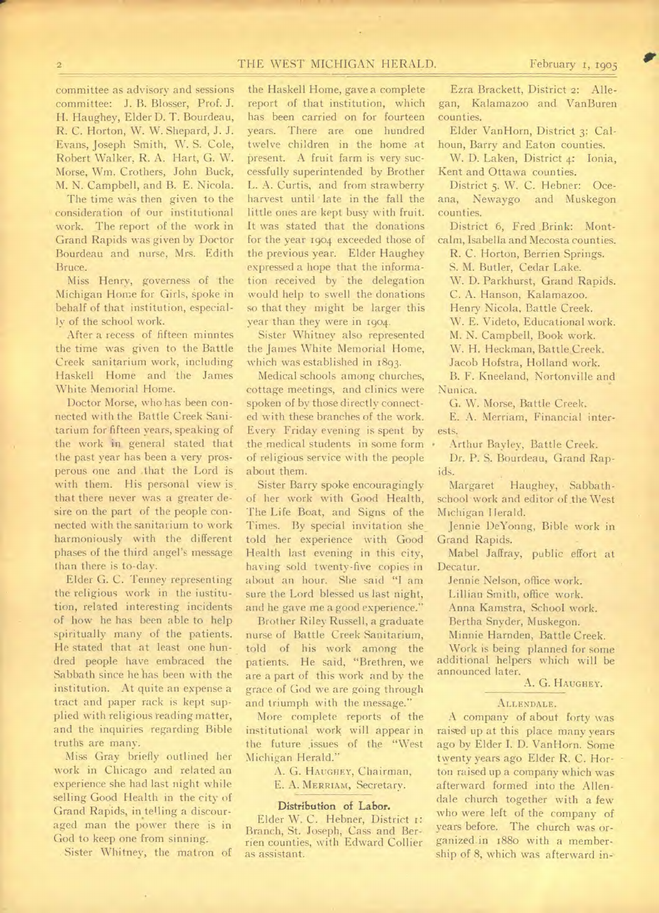## THE WEST MICHIGAN HERALD.

committee as advisory and sessions committee: J. B. Blosser, Prof. J. H. Haughey, Elder D. T. Bourdeau, R. C. Horton, W. W. Shepard, J. J. Evans, Joseph Smith, W. S. Cole, Robert Walker, R. A. Hart, G. W. Morse, Wm. Crothers, John Buck, M. N. Campbell, and B. E. Nicola.

The time was then given to the consideration of our institutional work. The report of the work in Grand Rapids was given by Doctor Bourdeau and nurse, Mrs. Edith Bruce.

Miss Henry, governess of the Michigan Home for Girls, spoke in behalf of that institution, especially of the school work.

After a recess of fifteen minntes the time was given to the Battle Creek sanitarium work, including Haskell Home and the James White Memorial Home.

Doctor Morse, who has been connected with the Battle Creek Sanitarium for fifteen years, speaking of the work in general stated that the past year has been a very prosperous one and that the Lord is with them. His personal view is that there never was a greater desire on the part of the people connected with the sanitarium to work harmoniously with the different phases of the third angel's message than there is to-day.

Elder G. C. Tenney representing the religious work in the institution, related interesting incidents of how he has been able to help spiritually many of the patients. He stated that at least one hundred people have embraced the Sabbath since he has been with the institution. At quite an expense a tract and paper rack is kept supplied with religious reading matter, and the inquiries regarding Bible truths are many.

Miss Gray briefly outlined her work in Chicago and related an experience she had last night while selling Good Health in the city of Grand Rapids, in telling a discouraged man the power there is in God to keep one from sinning.

Sister Whitney, the matron of

the Haskell Home, gave a complete report of that institution, which has been carried on for fourteen years. There are one hundred twelve children in the home at present. A fruit farm is very successfully superintended by Brother L. A. Curtis, and from strawberry harvest until late in the fall the little ones are kept busy with fruit. It was stated that the donations for the year 1904 exceeded those of the previous year. Elder Haughey expressed a hope that the information received by the delegation would help to swell the donations so that they might be larger this year than they were in 1904.

Sister Whitney also represented the James White Memorial Home, which was established in 1893.

Medical schools among churches, cottage meetings, and clinics were spoken of by those directly connected with these branches of the work. Every Friday evening is spent by the medical students in some form . of religious service with the people about them.

Sister Barry spoke encouragingly of her work with Good Health, The Life Boat, and Signs of the Times. By special invitation she told her experience with Good Health last evening in this city, having sold twenty-five copies in about an hour. She said "I am sure the Lord blessed us last night, and he gave me a good experience."

Brother Riley Russell, a graduate nurse of Battle Creek Sanitarium, told of his work among the patients. He said, "Brethren, we are a part of this work and by the grace of God we are going through and triumph with the message."

More complete reports of the institutional work will appear in the future issues of the "West Michigan Herald."

> A. G. HAUGHEY, Chairman, E. A. MERRIAM, Secretary.

# Distribution of Labor.

Elder W. C. Hebner, District 1: Branch, St. Joseph, Cass and Berrien counties, with Edward Collier as assistant.

Ezra Brackett, District 2: Allegan, Kalamazoo and VanBuren counties.

Elder VanHorn, District 3: Calhoun, Barry and Eaton counties.

W. D. Laken, District 4: Ionia, Kent and Ottawa counties.

District 5. W. C. Hebner: Oceana, Newaygo and Muskegon counties.

District 6, Fred Brink: Montcalm, Isabella and Mecosta counties.

R. C. Horton, Berrien Springs.

S. M. Butler, Cedar Lake.

W. D. Parkhurst, Grand Rapids.

C. A. Hanson, Kalamazoo.

Henry Nicola, Battle Creek.

W. E. Videto, Educational work.

M. N. Campbell, Book work.

W. H. Heckman, Battle Creek. Jacob Hofstra, Holland work.

B. F. Kneeland, Nortonville and Nunica.

G. W. Morse, Battle Creek.

E. A. Merriam, Financial interests.

Arthur Bayley, Battle Creek.

Dr. P. S. Bourdeau, Grand Rapids.

Margaret Haughey, Sabbathschool work and editor of the West Michigan Herald.

Jennie DeYonng, Bible work in Grand Rapids.

Mabel Jaffray, public effort at Decatur.

Jennie Nelson, office work.

Lillian Smith, office work.

Anna Kamstra, School work.

Bertha Snyder, Muskegon.

Minnie Harnden, Battle Creek.

Work is being planned for some additional helpers which will be announced later.

A. G. HAUGHEY.

#### ALLENDALE.

A company of about forty was raised up at this place many years ago by Elder I, D. VanHorn. Some twenty years ago Elder R. C. Horton raised up a company which was afterward formed into the Allendale church together with a few who were left of the company of years before. The church was organized in 1880 with a membership of 8, which was afterward in-

 $\frac{1}{2}$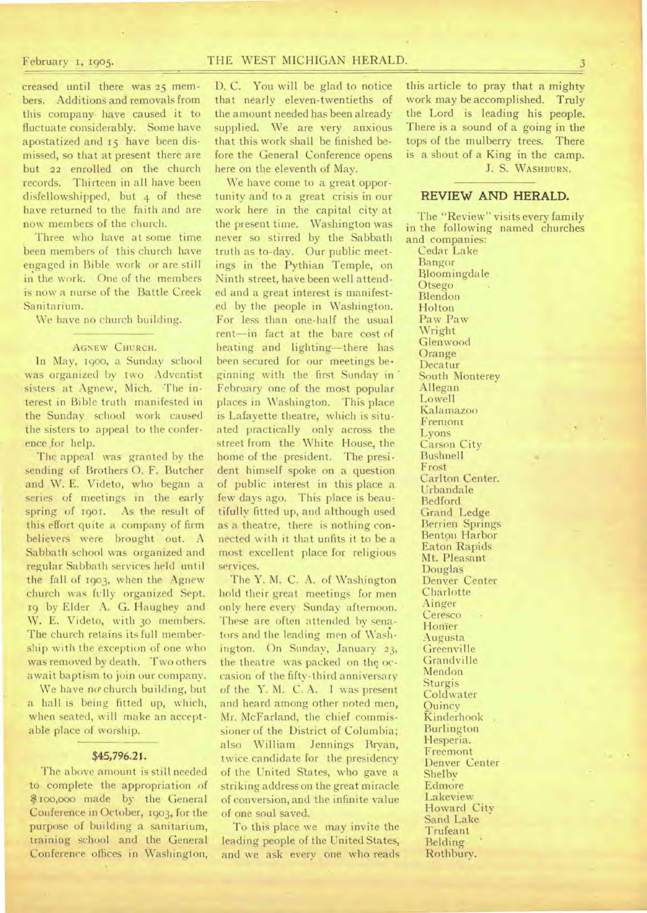# February 1, 1905. THE WEST MICHIGAN HERALD.

creased until there was 25 members. Additions and removals from this company have caused it to fluctuate considerably. Some have apostatized and 15 have been dismissed, so that at present there are but 22 enrolled on the church records. Thirteen in all have been disfellowshipped, but 4 of these have returned to the faith and are now members of the church.

Three who have at some time been members of this church have engaged in Bible work or are still in the work. One of the members is now a nurse of the Battle Creek Sanitarium.

We have no church building.

#### AGNEW CHURCH.

In May, 1900, a Sunday school was organized by two Adventist sisters at Agnew, Mich. The interest in Bible truth manifested in the Sunday school work caused the sisters to appeal to the conference for help.

The appeal was granted by the sending of Brothers 0. F. Butcher and W. E. Videto, who began a series of meetings in the early spring of 1901. As the result of this effort quite a company of firm believers were brought out. A Sabbath school was organized and regular Sabbath services held until the fall of 1903, when the Agnew church was fully organized Sept. 19 by Elder A. G. Haughey and W. E. Videto, with 30 members. The church retains its full membership with the exception of one who was removed by death. Two others await baptism to join our company.

We have no church building, but a hall is being fitted up, which, when seated, will make an acceptable place of worship.

# \$45,796.21.

The above amount is still needed to complete the appropriation of \$100,000 made by the General Conference in October, 1903, for the purpose of building a sanitarium, training school and the General Conference offices in Washington,

D. C. You will be glad to notice that nearly eleven-twentieths of the amount needed has been already supplied. We are very anxious that this work shall be finished before the General Conference opens here on the eleventh of May.

We have come to a great opportunity and to a great crisis in our work here in the capital city at the present time. Washington was never so stirred by the Sabbath truth as to-day. Our public meetings in the Pythian Temple, on Ninth street, have been well attended and a great interest is manifested by the people in Washington. For less than one-half the usual rent—in fact at the bare cost of heating and lighting—there has been secured for our meetings beginning with the first Sunday in February one of the most popular places in Washington. This place is Lafayette theatre, which is situated practically only across the street from the White House, the home of the president. The president himself spoke on a question of public interest in this place a few days ago. This place is beautifully fitted up, and although used as a theatre, there is nothing connected with it that unfits it to be a most excellent place for religious services.

The Y. M. C. A. of Washington hold their great meetings for men only here every Sunday afternoon. These are often attended by senators and the leading men of Washington. On Sunday, January 23, the theatre was packed on the occasion of the fifty-third anniversary of the Y. M. C. A. I was present and heard among other noted men, Mr. McFarland, the chief commissioner of the District of Columbia; also William Jennings Bryan, twice candidate for the presidency of the United Slates, who gave a striking address on the great miracle of conversion, and the infinite value of one soul saved.

To this place we may invite the leading people of the United States, and we ask every one who reads

this article to pray that a mighty work may be accomplished. Truly the Lord is leading his people. There is a sound of a going in the tops of the mulberry trees. There is a shout of a King in the camp. J. S. WASHBURN.

# REVIEW AND HERALD.

The "Review" visits every family in the following named churches and companies: Cedar Lake Bangor Bloomingdale Otsego Blendon Holton Paw Paw Wright Glenwood **Orange** Decatur South Monterey Allegan Lowell Kalamazoo Fremont Lyons Carson City Bushnell Frost Carlton Center. Urbandale Bedford Grand Ledge Berrien Springs Benton Harbor Eaton Rapids Mt. Pleasant Douglas Denver Center **Charlotte** Ainger Ceresco Homer Augusta **Greenville** Grandville Mendon Sturgis Coldwater **Quincy** K inderhook Burlington Hesperia. Freemont Denver Center Shelby Edmore Lakeview Howard City Sand Lake Trufeant **Belding** Rothbury.